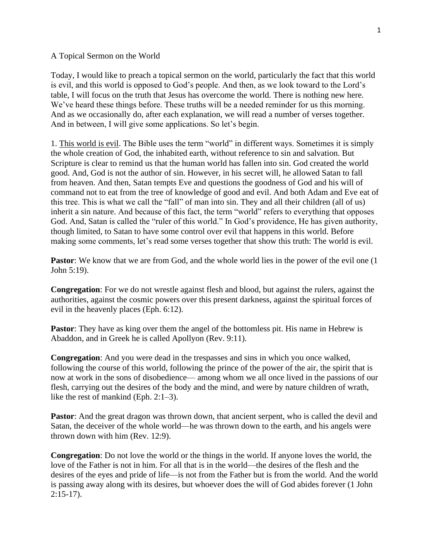A Topical Sermon on the World

Today, I would like to preach a topical sermon on the world, particularly the fact that this world is evil, and this world is opposed to God's people. And then, as we look toward to the Lord's table, I will focus on the truth that Jesus has overcome the world. There is nothing new here. We've heard these things before. These truths will be a needed reminder for us this morning. And as we occasionally do, after each explanation, we will read a number of verses together. And in between, I will give some applications. So let's begin.

1. This world is evil. The Bible uses the term "world" in different ways. Sometimes it is simply the whole creation of God, the inhabited earth, without reference to sin and salvation. But Scripture is clear to remind us that the human world has fallen into sin. God created the world good. And, God is not the author of sin. However, in his secret will, he allowed Satan to fall from heaven. And then, Satan tempts Eve and questions the goodness of God and his will of command not to eat from the tree of knowledge of good and evil. And both Adam and Eve eat of this tree. This is what we call the "fall" of man into sin. They and all their children (all of us) inherit a sin nature. And because of this fact, the term "world" refers to everything that opposes God. And, Satan is called the "ruler of this world." In God's providence, He has given authority, though limited, to Satan to have some control over evil that happens in this world. Before making some comments, let's read some verses together that show this truth: The world is evil.

**Pastor:** We know that we are from God, and the whole world lies in the power of the evil one (1) John 5:19).

**Congregation**: For we do not wrestle against flesh and blood, but against the rulers, against the authorities, against the cosmic powers over this present darkness, against the spiritual forces of evil in the heavenly places (Eph. 6:12).

**Pastor:** They have as king over them the angel of the bottomless pit. His name in Hebrew is Abaddon, and in Greek he is called Apollyon (Rev. 9:11).

**Congregation**: And you were dead in the trespasses and sins in which you once walked, following the course of this world, following the prince of the power of the air, the spirit that is now at work in the sons of disobedience— among whom we all once lived in the passions of our flesh, carrying out the desires of the body and the mind, and were by nature children of wrath, like the rest of mankind (Eph. 2:1–3).

**Pastor**: And the great dragon was thrown down, that ancient serpent, who is called the devil and Satan, the deceiver of the whole world—he was thrown down to the earth, and his angels were thrown down with him (Rev. 12:9).

**Congregation**: Do not love the world or the things in the world. If anyone loves the world, the love of the Father is not in him. For all that is in the world—the desires of the flesh and the desires of the eyes and pride of life—is not from the Father but is from the world. And the world is passing away along with its desires, but whoever does the will of God abides forever (1 John 2:15-17).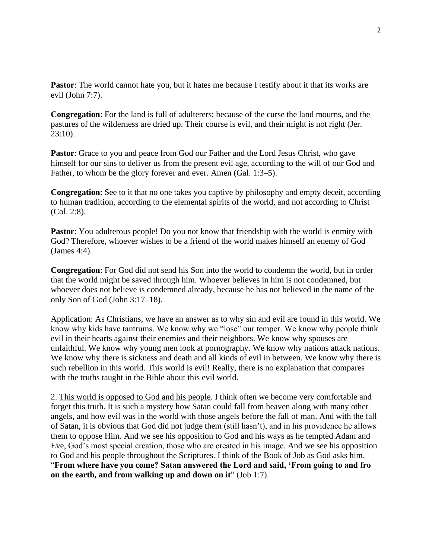**Pastor:** The world cannot hate you, but it hates me because I testify about it that its works are evil (John 7:7).

**Congregation**: For the land is full of adulterers; because of the curse the land mourns, and the pastures of the wilderness are dried up. Their course is evil, and their might is not right (Jer. 23:10).

Pastor: Grace to you and peace from God our Father and the Lord Jesus Christ, who gave himself for our sins to deliver us from the present evil age, according to the will of our God and Father, to whom be the glory forever and ever. Amen (Gal. 1:3–5).

**Congregation**: See to it that no one takes you captive by philosophy and empty deceit, according to human tradition, according to the elemental spirits of the world, and not according to Christ (Col. 2:8).

**Pastor**: You adulterous people! Do you not know that friendship with the world is enmity with God? Therefore, whoever wishes to be a friend of the world makes himself an enemy of God (James 4:4).

**Congregation**: For God did not send his Son into the world to condemn the world, but in order that the world might be saved through him. Whoever believes in him is not condemned, but whoever does not believe is condemned already, because he has not believed in the name of the only Son of God (John 3:17–18).

Application: As Christians, we have an answer as to why sin and evil are found in this world. We know why kids have tantrums. We know why we "lose" our temper. We know why people think evil in their hearts against their enemies and their neighbors. We know why spouses are unfaithful. We know why young men look at pornography. We know why nations attack nations. We know why there is sickness and death and all kinds of evil in between. We know why there is such rebellion in this world. This world is evil! Really, there is no explanation that compares with the truths taught in the Bible about this evil world.

2. This world is opposed to God and his people. I think often we become very comfortable and forget this truth. It is such a mystery how Satan could fall from heaven along with many other angels, and how evil was in the world with those angels before the fall of man. And with the fall of Satan, it is obvious that God did not judge them (still hasn't), and in his providence he allows them to oppose Him. And we see his opposition to God and his ways as he tempted Adam and Eve, God's most special creation, those who are created in his image. And we see his opposition to God and his people throughout the Scriptures. I think of the Book of Job as God asks him, "**From where have you come? Satan answered the Lord and said, 'From going to and fro on the earth, and from walking up and down on it**" (Job 1:7).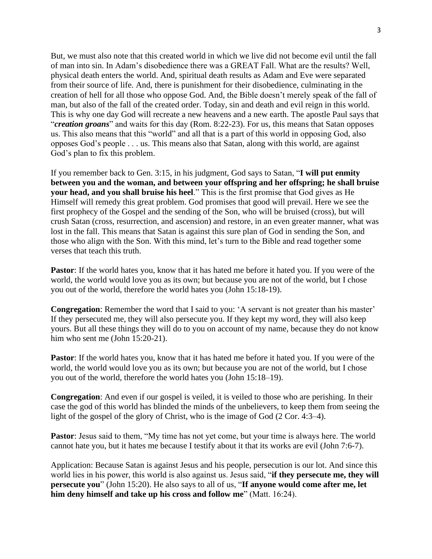But, we must also note that this created world in which we live did not become evil until the fall of man into sin. In Adam's disobedience there was a GREAT Fall. What are the results? Well, physical death enters the world. And, spiritual death results as Adam and Eve were separated from their source of life. And, there is punishment for their disobedience, culminating in the creation of hell for all those who oppose God. And, the Bible doesn't merely speak of the fall of man, but also of the fall of the created order. Today, sin and death and evil reign in this world. This is why one day God will recreate a new heavens and a new earth. The apostle Paul says that "*creation groans*" and waits for this day (Rom. 8:22-23). For us, this means that Satan opposes us. This also means that this "world" and all that is a part of this world in opposing God, also opposes God's people . . . us. This means also that Satan, along with this world, are against God's plan to fix this problem.

If you remember back to Gen. 3:15, in his judgment, God says to Satan, "**I will put enmity between you and the woman, and between your offspring and her offspring; he shall bruise your head, and you shall bruise his heel**." This is the first promise that God gives as He Himself will remedy this great problem. God promises that good will prevail. Here we see the first prophecy of the Gospel and the sending of the Son, who will be bruised (cross), but will crush Satan (cross, resurrection, and ascension) and restore, in an even greater manner, what was lost in the fall. This means that Satan is against this sure plan of God in sending the Son, and those who align with the Son. With this mind, let's turn to the Bible and read together some verses that teach this truth.

**Pastor**: If the world hates you, know that it has hated me before it hated you. If you were of the world, the world would love you as its own; but because you are not of the world, but I chose you out of the world, therefore the world hates you (John 15:18-19).

**Congregation**: Remember the word that I said to you: 'A servant is not greater than his master' If they persecuted me, they will also persecute you. If they kept my word, they will also keep yours. But all these things they will do to you on account of my name, because they do not know him who sent me (John 15:20-21).

**Pastor**: If the world hates you, know that it has hated me before it hated you. If you were of the world, the world would love you as its own; but because you are not of the world, but I chose you out of the world, therefore the world hates you (John 15:18–19).

**Congregation**: And even if our gospel is veiled, it is veiled to those who are perishing. In their case the god of this world has blinded the minds of the unbelievers, to keep them from seeing the light of the gospel of the glory of Christ, who is the image of God (2 Cor. 4:3–4).

**Pastor**: Jesus said to them, "My time has not yet come, but your time is always here. The world cannot hate you, but it hates me because I testify about it that its works are evil (John 7:6-7).

Application: Because Satan is against Jesus and his people, persecution is our lot. And since this world lies in his power, this world is also against us. Jesus said, "**if they persecute me, they will persecute you**" (John 15:20). He also says to all of us, "**If anyone would come after me, let him deny himself and take up his cross and follow me**" (Matt. 16:24).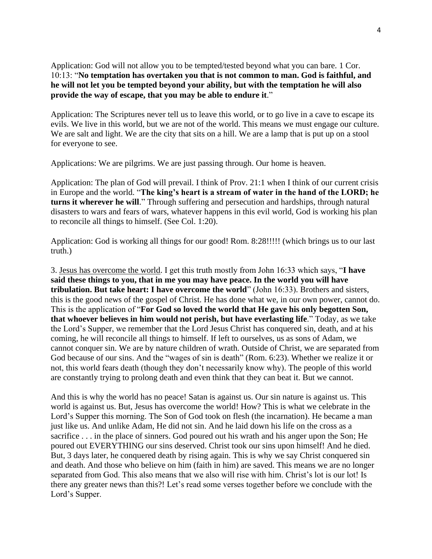Application: God will not allow you to be tempted/tested beyond what you can bare. 1 Cor. 10:13: "**No temptation has overtaken you that is not common to man. God is faithful, and he will not let you be tempted beyond your ability, but with the temptation he will also provide the way of escape, that you may be able to endure it**."

Application: The Scriptures never tell us to leave this world, or to go live in a cave to escape its evils. We live in this world, but we are not of the world. This means we must engage our culture. We are salt and light. We are the city that sits on a hill. We are a lamp that is put up on a stool for everyone to see.

Applications: We are pilgrims. We are just passing through. Our home is heaven.

Application: The plan of God will prevail. I think of Prov. 21:1 when I think of our current crisis in Europe and the world. "**The king's heart is a stream of water in the hand of the LORD; he turns it wherever he will**." Through suffering and persecution and hardships, through natural disasters to wars and fears of wars, whatever happens in this evil world, God is working his plan to reconcile all things to himself. (See Col. 1:20).

Application: God is working all things for our good! Rom. 8:28!!!!! (which brings us to our last truth.)

3. Jesus has overcome the world. I get this truth mostly from John 16:33 which says, "**I have said these things to you, that in me you may have peace. In the world you will have tribulation. But take heart: I have overcome the world**" (John 16:33). Brothers and sisters, this is the good news of the gospel of Christ. He has done what we, in our own power, cannot do. This is the application of "**For God so loved the world that He gave his only begotten Son, that whoever believes in him would not perish, but have everlasting life**." Today, as we take the Lord's Supper, we remember that the Lord Jesus Christ has conquered sin, death, and at his coming, he will reconcile all things to himself. If left to ourselves, us as sons of Adam, we cannot conquer sin. We are by nature children of wrath. Outside of Christ, we are separated from God because of our sins. And the "wages of sin is death" (Rom. 6:23). Whether we realize it or not, this world fears death (though they don't necessarily know why). The people of this world are constantly trying to prolong death and even think that they can beat it. But we cannot.

And this is why the world has no peace! Satan is against us. Our sin nature is against us. This world is against us. But, Jesus has overcome the world! How? This is what we celebrate in the Lord's Supper this morning. The Son of God took on flesh (the incarnation). He became a man just like us. And unlike Adam, He did not sin. And he laid down his life on the cross as a sacrifice . . . in the place of sinners. God poured out his wrath and his anger upon the Son; He poured out EVERYTHING our sins deserved. Christ took our sins upon himself! And he died. But, 3 days later, he conquered death by rising again. This is why we say Christ conquered sin and death. And those who believe on him (faith in him) are saved. This means we are no longer separated from God. This also means that we also will rise with him. Christ's lot is our lot! Is there any greater news than this?! Let's read some verses together before we conclude with the Lord's Supper.